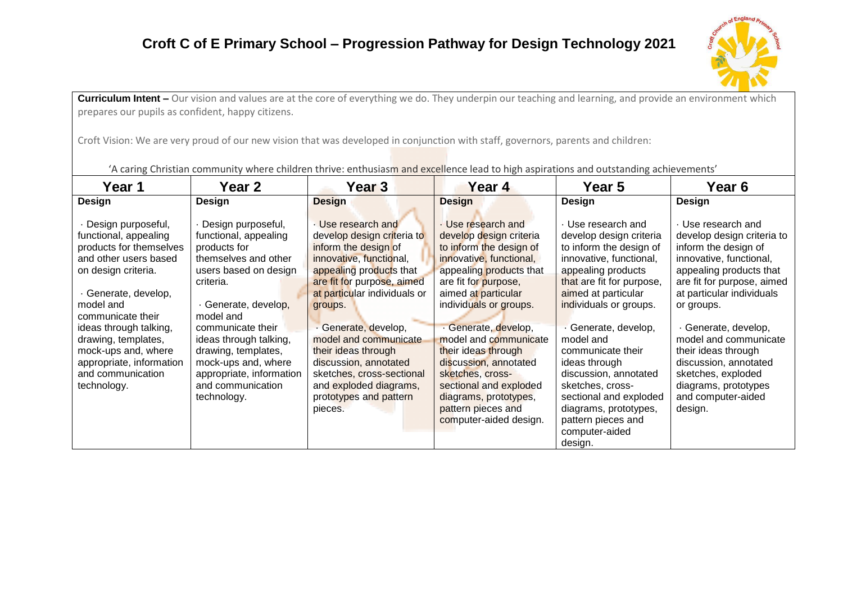## **Croft C of E Primary School – Progression Pathway for Design Technology 2021**



**Curriculum Intent** – Our vision and values are at the core of everything we do. They underpin our teaching and learning, and provide an environment which prepares our pupils as confident, happy citizens.

Croft Vision: We are very proud of our new vision that was developed in conjunction with staff, governors, parents and children:

**Year 1 Year 2 Year 3 Year 4 Year 5 Year 6 Design** · Design purposeful, functional, appealing products for themselves and other users based on design criteria. · Generate, develop, model and communicate their ideas through talking, drawing, templates, mock-ups and, where appropriate, information and communication technology. **Design**  · Design purposeful, functional, appealing products for themselves and other users based on design criteria. · Generate, develop, model and communicate their ideas through talking, drawing, templates, mock-ups and, where appropriate, information and communication technology. **Design**  · Use research and develop design criteria to inform the design of innovative, functional, appealing products that are fit for purpose, aimed at particular individuals or groups. · Generate, develop, model and communicate their ideas through discussion, annotated sketches, cross-sectional and exploded diagrams, prototypes and pattern pieces. **Design**  · Use research and develop design criteria to inform the design of innovative, functional, appealing products that are fit for purpose, aimed at particular individuals or groups. · Generate, develop, model and communicate their ideas through discussion, annotated sketches, crosssectional and exploded diagrams, prototypes, pattern pieces and computer-aided design. **Design**  · Use research and develop design criteria to inform the design of innovative, functional, appealing products that are fit for purpose, aimed at particular individuals or groups. · Generate, develop, model and communicate their ideas through discussion, annotated sketches, crosssectional and exploded diagrams, prototypes, pattern pieces and computer-aided design. **Design**  · Use research and develop design criteria to inform the design of innovative, functional, appealing products that are fit for purpose, aimed at particular individuals or groups. · Generate, develop, model and communicate their ideas through discussion, annotated sketches, exploded diagrams, prototypes and computer-aided design.

'A caring Christian community where children thrive: enthusiasm and excellence lead to high aspirations and outstanding achievements'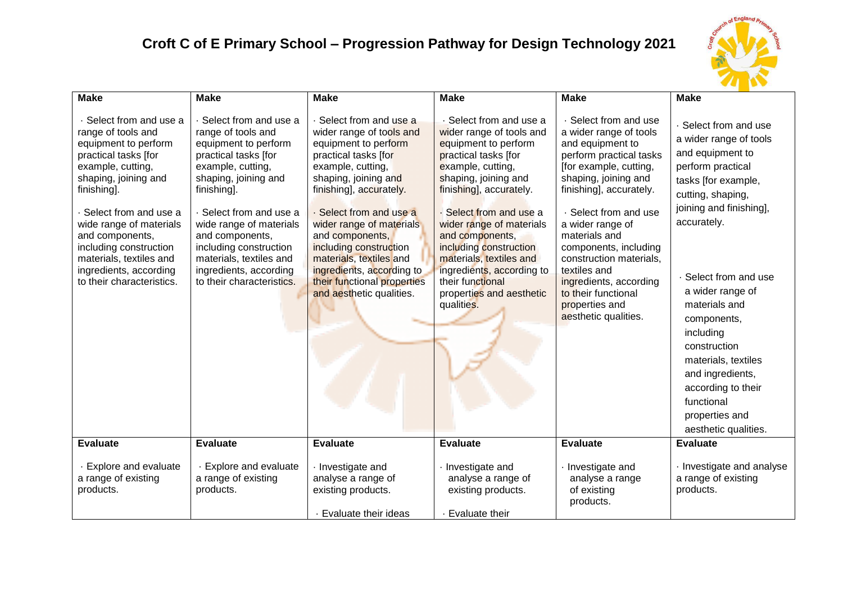## **Croft C of E Primary School – Progression Pathway for Design Technology 2021**



| <b>Make</b>                                                                                                                                                                                                                                                                                                                                  | <b>Make</b>                                                                                                                                                                                                                                                                                                                                    | <b>Make</b>                                                                                                                                                                                                                                                                                                                                                                                        | <b>Make</b>                                                                                                                                                                                                                                                                                                                                                                                         | <b>Make</b>                                                                                                                                                                                                                                                                                                                                                                                              | <b>Make</b>                                                                                                                                                                                                                                                                                                                                                                                                       |
|----------------------------------------------------------------------------------------------------------------------------------------------------------------------------------------------------------------------------------------------------------------------------------------------------------------------------------------------|------------------------------------------------------------------------------------------------------------------------------------------------------------------------------------------------------------------------------------------------------------------------------------------------------------------------------------------------|----------------------------------------------------------------------------------------------------------------------------------------------------------------------------------------------------------------------------------------------------------------------------------------------------------------------------------------------------------------------------------------------------|-----------------------------------------------------------------------------------------------------------------------------------------------------------------------------------------------------------------------------------------------------------------------------------------------------------------------------------------------------------------------------------------------------|----------------------------------------------------------------------------------------------------------------------------------------------------------------------------------------------------------------------------------------------------------------------------------------------------------------------------------------------------------------------------------------------------------|-------------------------------------------------------------------------------------------------------------------------------------------------------------------------------------------------------------------------------------------------------------------------------------------------------------------------------------------------------------------------------------------------------------------|
| · Select from and use a<br>range of tools and<br>equipment to perform<br>practical tasks [for<br>example, cutting,<br>shaping, joining and<br>finishing].<br>Select from and use a<br>wide range of materials<br>and components,<br>including construction<br>materials, textiles and<br>ingredients, according<br>to their characteristics. | · Select from and use a<br>range of tools and<br>equipment to perform<br>practical tasks [for<br>example, cutting,<br>shaping, joining and<br>finishing].<br>· Select from and use a<br>wide range of materials<br>and components,<br>including construction<br>materials, textiles and<br>ingredients, according<br>to their characteristics. | · Select from and use a<br>wider range of tools and<br>equipment to perform<br>practical tasks [for<br>example, cutting,<br>shaping, joining and<br>finishing], accurately.<br>· Select from and use a<br>wider range of materials<br>and components,<br>including construction<br>materials, textiles and<br>ingredients, according to<br>their functional properties<br>and aesthetic qualities. | · Select from and use a<br>wider range of tools and<br>equipment to perform<br>practical tasks [for<br>example, cutting,<br>shaping, joining and<br>finishing], accurately.<br>Select from and use a<br>wider range of materials<br>and components,<br>including construction<br>materials, textiles and<br>ingredients, according to<br>their functional<br>properties and aesthetic<br>qualities. | · Select from and use<br>a wider range of tools<br>and equipment to<br>perform practical tasks<br>[for example, cutting,<br>shaping, joining and<br>finishing], accurately.<br>· Select from and use<br>a wider range of<br>materials and<br>components, including<br>construction materials,<br>textiles and<br>ingredients, according<br>to their functional<br>properties and<br>aesthetic qualities. | · Select from and use<br>a wider range of tools<br>and equipment to<br>perform practical<br>tasks [for example,<br>cutting, shaping,<br>joining and finishing],<br>accurately.<br>· Select from and use<br>a wider range of<br>materials and<br>components,<br>including<br>construction<br>materials, textiles<br>and ingredients,<br>according to their<br>functional<br>properties and<br>aesthetic qualities. |
| <b>Evaluate</b>                                                                                                                                                                                                                                                                                                                              | <b>Evaluate</b>                                                                                                                                                                                                                                                                                                                                | <b>Evaluate</b>                                                                                                                                                                                                                                                                                                                                                                                    | <b>Evaluate</b>                                                                                                                                                                                                                                                                                                                                                                                     | <b>Evaluate</b>                                                                                                                                                                                                                                                                                                                                                                                          | <b>Evaluate</b>                                                                                                                                                                                                                                                                                                                                                                                                   |
| · Explore and evaluate<br>a range of existing<br>products.                                                                                                                                                                                                                                                                                   | <b>Explore and evaluate</b><br>a range of existing<br>products.                                                                                                                                                                                                                                                                                | · Investigate and<br>analyse a range of<br>existing products.<br>· Evaluate their ideas                                                                                                                                                                                                                                                                                                            | · Investigate and<br>analyse a range of<br>existing products.<br>Evaluate their                                                                                                                                                                                                                                                                                                                     | Investigate and<br>analyse a range<br>of existing<br>products.                                                                                                                                                                                                                                                                                                                                           | Investigate and analyse<br>a range of existing<br>products.                                                                                                                                                                                                                                                                                                                                                       |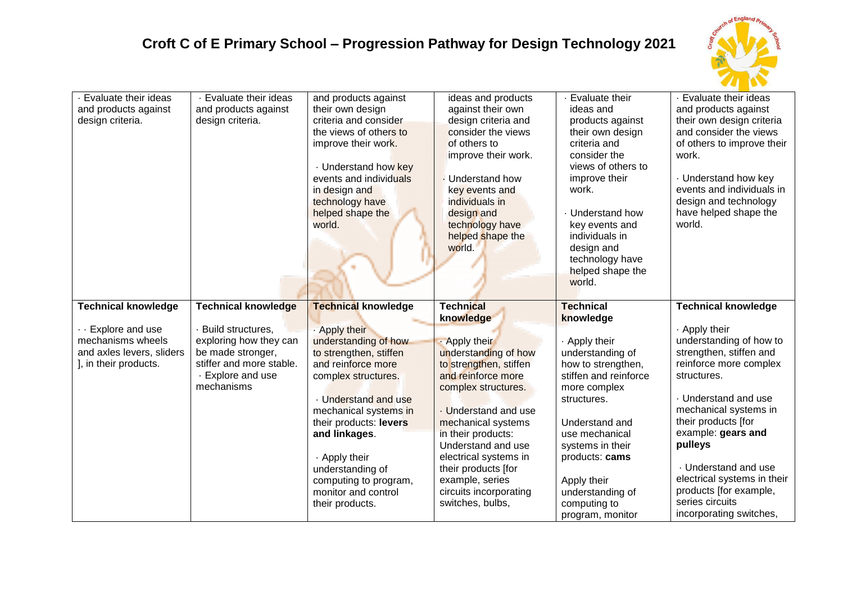## **Croft C of E Primary School – Progression Pathway for Design Technology 2021**



| Evaluate their ideas<br>and products against<br>design criteria.                                                           | · Evaluate their ideas<br>and products against<br>design criteria.                                                                                            | and products against<br>their own design<br>criteria and consider<br>the views of others to<br>improve their work.<br>. Understand how key<br>events and individuals<br>in design and<br>technology have<br>helped shape the<br>world.                                                                                                         | ideas and products<br>against their own<br>design criteria and<br>consider the views<br>of others to<br>improve their work.<br><b>Understand how</b><br>key events and<br>individuals in<br>design and<br>technology have<br>helped shape the<br>world.                                                                                                | Evaluate their<br>ideas and<br>products against<br>their own design<br>criteria and<br>consider the<br>views of others to<br>improve their<br>work.<br>Understand how<br>key events and<br>individuals in<br>design and<br>technology have<br>helped shape the<br>world.                          | · Evaluate their ideas<br>and products against<br>their own design criteria<br>and consider the views<br>of others to improve their<br>work.<br>· Understand how key<br>events and individuals in<br>design and technology<br>have helped shape the<br>world.                                                                                                                      |
|----------------------------------------------------------------------------------------------------------------------------|---------------------------------------------------------------------------------------------------------------------------------------------------------------|------------------------------------------------------------------------------------------------------------------------------------------------------------------------------------------------------------------------------------------------------------------------------------------------------------------------------------------------|--------------------------------------------------------------------------------------------------------------------------------------------------------------------------------------------------------------------------------------------------------------------------------------------------------------------------------------------------------|---------------------------------------------------------------------------------------------------------------------------------------------------------------------------------------------------------------------------------------------------------------------------------------------------|------------------------------------------------------------------------------------------------------------------------------------------------------------------------------------------------------------------------------------------------------------------------------------------------------------------------------------------------------------------------------------|
| <b>Technical knowledge</b><br>- Explore and use<br>mechanisms wheels<br>and axles levers, sliders<br>], in their products. | <b>Technical knowledge</b><br>Build structures,<br>exploring how they can<br>be made stronger,<br>stiffer and more stable.<br>- Explore and use<br>mechanisms | <b>Technical knowledge</b><br>. Apply their<br>understanding of how<br>to strengthen, stiffen<br>and reinforce more<br>complex structures.<br>. Understand and use<br>mechanical systems in<br>their products: levers<br>and linkages.<br>. Apply their<br>understanding of<br>computing to program,<br>monitor and control<br>their products. | <b>Technical</b><br>knowledge<br>Apply their<br>understanding of how<br>to strengthen, stiffen<br>and reinforce more<br>complex structures.<br>. Understand and use<br>mechanical systems<br>in their products:<br>Understand and use<br>electrical systems in<br>their products [for<br>example, series<br>circuits incorporating<br>switches, bulbs, | <b>Technical</b><br>knowledge<br>. Apply their<br>understanding of<br>how to strengthen,<br>stiffen and reinforce<br>more complex<br>structures.<br>Understand and<br>use mechanical<br>systems in their<br>products: cams<br>Apply their<br>understanding of<br>computing to<br>program, monitor | <b>Technical knowledge</b><br>. Apply their<br>understanding of how to<br>strengthen, stiffen and<br>reinforce more complex<br>structures.<br>. Understand and use<br>mechanical systems in<br>their products [for<br>example: gears and<br>pulleys<br>. Understand and use<br>electrical systems in their<br>products [for example,<br>series circuits<br>incorporating switches, |